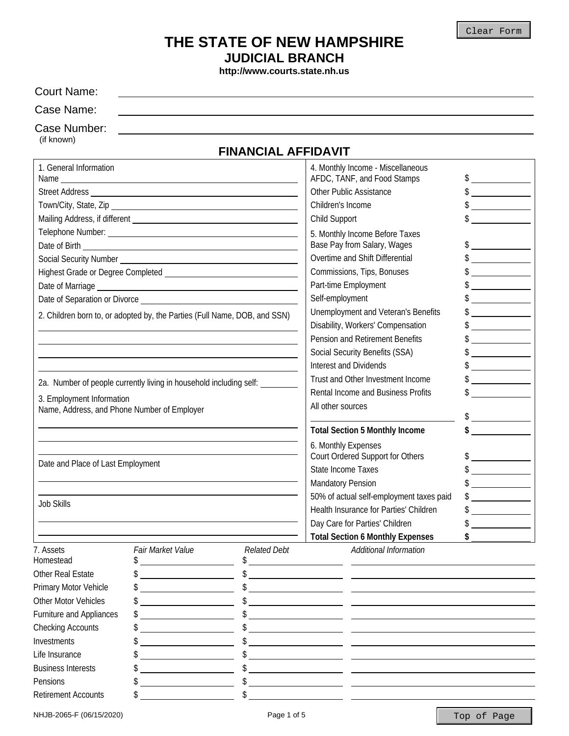## **THE STATE OF NEW HAMPSHIRE JUDICIAL BRANCH**

**http://www.courts.state.nh.us**

| <b>Court Name:</b>                          |                                                                            |                                        |                                                                  |                                                                                                                                                                                                                                                                                                                                                                                                                                 |
|---------------------------------------------|----------------------------------------------------------------------------|----------------------------------------|------------------------------------------------------------------|---------------------------------------------------------------------------------------------------------------------------------------------------------------------------------------------------------------------------------------------------------------------------------------------------------------------------------------------------------------------------------------------------------------------------------|
| Case Name:                                  |                                                                            |                                        |                                                                  |                                                                                                                                                                                                                                                                                                                                                                                                                                 |
| Case Number:<br>(if known)                  |                                                                            |                                        |                                                                  |                                                                                                                                                                                                                                                                                                                                                                                                                                 |
|                                             |                                                                            | <b>FINANCIAL AFFIDAVIT</b>             |                                                                  |                                                                                                                                                                                                                                                                                                                                                                                                                                 |
| 1. General Information                      |                                                                            |                                        | 4. Monthly Income - Miscellaneous<br>AFDC, TANF, and Food Stamps | $\frac{1}{2}$                                                                                                                                                                                                                                                                                                                                                                                                                   |
|                                             |                                                                            | Other Public Assistance                | $\frac{1}{2}$                                                    |                                                                                                                                                                                                                                                                                                                                                                                                                                 |
|                                             |                                                                            |                                        | Children's Income                                                | $\frac{1}{2}$                                                                                                                                                                                                                                                                                                                                                                                                                   |
|                                             |                                                                            |                                        | Child Support                                                    | $\mathbb{S}$                                                                                                                                                                                                                                                                                                                                                                                                                    |
|                                             |                                                                            |                                        | 5. Monthly Income Before Taxes                                   |                                                                                                                                                                                                                                                                                                                                                                                                                                 |
|                                             |                                                                            |                                        | Base Pay from Salary, Wages                                      |                                                                                                                                                                                                                                                                                                                                                                                                                                 |
|                                             |                                                                            |                                        | Overtime and Shift Differential                                  | $\frac{1}{2}$                                                                                                                                                                                                                                                                                                                                                                                                                   |
|                                             |                                                                            |                                        | Commissions, Tips, Bonuses                                       | $\frac{1}{2}$                                                                                                                                                                                                                                                                                                                                                                                                                   |
|                                             |                                                                            |                                        | Part-time Employment<br>Self-employment                          | $\mathcal{L}_{\text{max}}$ and $\mathcal{L}_{\text{max}}$                                                                                                                                                                                                                                                                                                                                                                       |
|                                             |                                                                            |                                        | Unemployment and Veteran's Benefits                              | <u> Albanya (Albanya)</u>                                                                                                                                                                                                                                                                                                                                                                                                       |
|                                             | 2. Children born to, or adopted by, the Parties (Full Name, DOB, and SSN)  |                                        | Disability, Workers' Compensation                                | $\begin{aligned} \mathcal{L}_{\text{max}}(\mathcal{L}_{\text{max}}) = \mathcal{L}_{\text{max}}(\mathcal{L}_{\text{max}}) \end{aligned}$                                                                                                                                                                                                                                                                                         |
|                                             |                                                                            |                                        | <b>Pension and Retirement Benefits</b>                           | $\frac{1}{2}$                                                                                                                                                                                                                                                                                                                                                                                                                   |
|                                             |                                                                            |                                        | Social Security Benefits (SSA)                                   | $\frac{1}{2}$                                                                                                                                                                                                                                                                                                                                                                                                                   |
|                                             |                                                                            |                                        | <b>Interest and Dividends</b>                                    | <u> The Communication</u>                                                                                                                                                                                                                                                                                                                                                                                                       |
|                                             |                                                                            |                                        | Trust and Other Investment Income                                | $\frac{1}{\sqrt{1-\frac{1}{2}}}\frac{1}{\sqrt{1-\frac{1}{2}}}\frac{1}{\sqrt{1-\frac{1}{2}}}\frac{1}{\sqrt{1-\frac{1}{2}}}\frac{1}{\sqrt{1-\frac{1}{2}}}\frac{1}{\sqrt{1-\frac{1}{2}}}\frac{1}{\sqrt{1-\frac{1}{2}}}\frac{1}{\sqrt{1-\frac{1}{2}}}\frac{1}{\sqrt{1-\frac{1}{2}}}\frac{1}{\sqrt{1-\frac{1}{2}}}\frac{1}{\sqrt{1-\frac{1}{2}}}\frac{1}{\sqrt{1-\frac{1}{2}}}\frac{1}{\sqrt{1-\frac{1}{2}}}\frac{1}{\sqrt{1-\frac{$ |
|                                             | 2a. Number of people currently living in household including self: _______ |                                        | Rental Income and Business Profits                               |                                                                                                                                                                                                                                                                                                                                                                                                                                 |
| 3. Employment Information                   |                                                                            |                                        | All other sources                                                |                                                                                                                                                                                                                                                                                                                                                                                                                                 |
| Name, Address, and Phone Number of Employer |                                                                            |                                        |                                                                  | $\frac{1}{2}$                                                                                                                                                                                                                                                                                                                                                                                                                   |
|                                             |                                                                            |                                        | <b>Total Section 5 Monthly Income</b>                            | $\frac{1}{2}$                                                                                                                                                                                                                                                                                                                                                                                                                   |
|                                             |                                                                            |                                        | 6. Monthly Expenses                                              |                                                                                                                                                                                                                                                                                                                                                                                                                                 |
| Date and Place of Last Employment           |                                                                            |                                        | Court Ordered Support for Others                                 | $\frac{1}{2}$                                                                                                                                                                                                                                                                                                                                                                                                                   |
|                                             |                                                                            |                                        | <b>State Income Taxes</b>                                        |                                                                                                                                                                                                                                                                                                                                                                                                                                 |
|                                             |                                                                            |                                        | <b>Mandatory Pension</b>                                         |                                                                                                                                                                                                                                                                                                                                                                                                                                 |
| <b>Job Skills</b>                           |                                                                            |                                        | 50% of actual self-employment taxes paid                         |                                                                                                                                                                                                                                                                                                                                                                                                                                 |
|                                             |                                                                            | Health Insurance for Parties' Children |                                                                  |                                                                                                                                                                                                                                                                                                                                                                                                                                 |
|                                             |                                                                            |                                        | Day Care for Parties' Children                                   |                                                                                                                                                                                                                                                                                                                                                                                                                                 |
|                                             |                                                                            |                                        | <b>Total Section 6 Monthly Expenses</b>                          |                                                                                                                                                                                                                                                                                                                                                                                                                                 |
| 7. Assets<br>Homestead                      | <b>Fair Market Value</b>                                                   | <b>Related Debt</b><br>\$              | Additional Information                                           |                                                                                                                                                                                                                                                                                                                                                                                                                                 |
| Other Real Estate                           |                                                                            |                                        |                                                                  |                                                                                                                                                                                                                                                                                                                                                                                                                                 |
| Primary Motor Vehicle                       |                                                                            | \$                                     |                                                                  |                                                                                                                                                                                                                                                                                                                                                                                                                                 |
| Other Motor Vehicles                        | <u> Listen van die Stad van die Stad van die</u>                           |                                        | $\frac{1}{2}$                                                    |                                                                                                                                                                                                                                                                                                                                                                                                                                 |
| Furniture and Appliances                    | $\sim$ $\sim$                                                              |                                        |                                                                  |                                                                                                                                                                                                                                                                                                                                                                                                                                 |
| <b>Checking Accounts</b>                    |                                                                            |                                        |                                                                  |                                                                                                                                                                                                                                                                                                                                                                                                                                 |
| Investments                                 |                                                                            |                                        |                                                                  |                                                                                                                                                                                                                                                                                                                                                                                                                                 |
| Life Insurance                              |                                                                            | \$                                     |                                                                  |                                                                                                                                                                                                                                                                                                                                                                                                                                 |
| <b>Business Interests</b>                   |                                                                            |                                        |                                                                  |                                                                                                                                                                                                                                                                                                                                                                                                                                 |
| Pensions                                    |                                                                            |                                        |                                                                  |                                                                                                                                                                                                                                                                                                                                                                                                                                 |
| <b>Retirement Accounts</b>                  |                                                                            |                                        |                                                                  |                                                                                                                                                                                                                                                                                                                                                                                                                                 |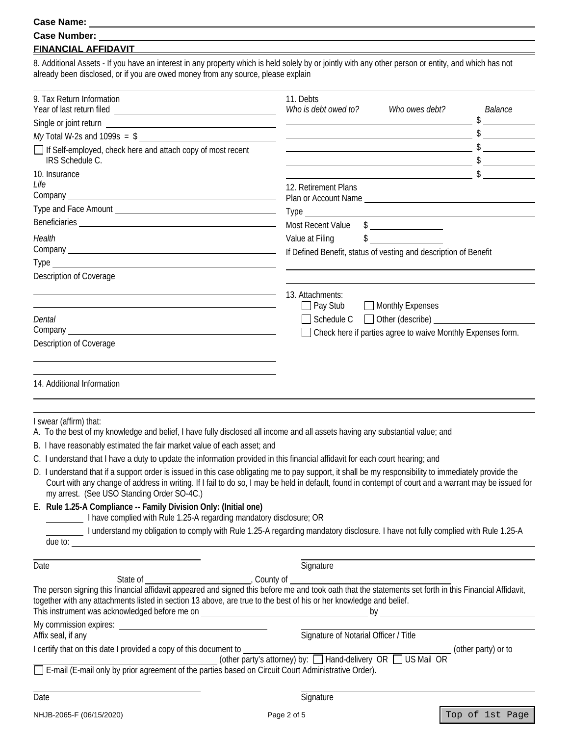#### **Case Name:**

| <b>Case Number:</b> |  |
|---------------------|--|
|                     |  |

### **FINANCIAL AFFIDAVIT**

8. Additional Assets - If you have an interest in any property which is held solely by or jointly with any other person or entity, and which has not already been disclosed, or if you are owed money from any source, please explain

<u> 1980 - Johann Barnett, fransk politik (d. 1980)</u>

| 9. Tax Return Information                                                                                                                                                                                                                                                                                                                                    | 11. Debts<br>Who is debt owed to?<br>Who owes debt?                                                                                                                                                                                                                                                                                                                                                                                                                             | <i>Balance</i>                                                                                      |
|--------------------------------------------------------------------------------------------------------------------------------------------------------------------------------------------------------------------------------------------------------------------------------------------------------------------------------------------------------------|---------------------------------------------------------------------------------------------------------------------------------------------------------------------------------------------------------------------------------------------------------------------------------------------------------------------------------------------------------------------------------------------------------------------------------------------------------------------------------|-----------------------------------------------------------------------------------------------------|
|                                                                                                                                                                                                                                                                                                                                                              |                                                                                                                                                                                                                                                                                                                                                                                                                                                                                 |                                                                                                     |
|                                                                                                                                                                                                                                                                                                                                                              | $\overline{\phantom{a}}$ $\overline{\phantom{a}}$ $\overline{\phantom{a}}$ $\overline{\phantom{a}}$ $\overline{\phantom{a}}$ $\overline{\phantom{a}}$ $\overline{\phantom{a}}$ $\overline{\phantom{a}}$ $\overline{\phantom{a}}$ $\overline{\phantom{a}}$ $\overline{\phantom{a}}$ $\overline{\phantom{a}}$ $\overline{\phantom{a}}$ $\overline{\phantom{a}}$ $\overline{\phantom{a}}$ $\overline{\phantom{a}}$ $\overline{\phantom{a}}$ $\overline{\phantom{a}}$ $\overline{\$ |                                                                                                     |
| If Self-employed, check here and attach copy of most recent<br><b>IRS Schedule C.</b>                                                                                                                                                                                                                                                                        |                                                                                                                                                                                                                                                                                                                                                                                                                                                                                 |                                                                                                     |
| 10. Insurance                                                                                                                                                                                                                                                                                                                                                |                                                                                                                                                                                                                                                                                                                                                                                                                                                                                 | $\overline{\phantom{a}}$ $\overline{\phantom{a}}$ $\overline{\phantom{a}}$ $\overline{\phantom{a}}$ |
| Life                                                                                                                                                                                                                                                                                                                                                         | 12. Retirement Plans                                                                                                                                                                                                                                                                                                                                                                                                                                                            |                                                                                                     |
|                                                                                                                                                                                                                                                                                                                                                              | Plan or Account Name                                                                                                                                                                                                                                                                                                                                                                                                                                                            |                                                                                                     |
|                                                                                                                                                                                                                                                                                                                                                              |                                                                                                                                                                                                                                                                                                                                                                                                                                                                                 |                                                                                                     |
|                                                                                                                                                                                                                                                                                                                                                              | Most Recent Value \$                                                                                                                                                                                                                                                                                                                                                                                                                                                            |                                                                                                     |
| Health                                                                                                                                                                                                                                                                                                                                                       | $\frac{1}{2}$<br>Value at Filing                                                                                                                                                                                                                                                                                                                                                                                                                                                |                                                                                                     |
|                                                                                                                                                                                                                                                                                                                                                              | If Defined Benefit, status of vesting and description of Benefit                                                                                                                                                                                                                                                                                                                                                                                                                |                                                                                                     |
|                                                                                                                                                                                                                                                                                                                                                              |                                                                                                                                                                                                                                                                                                                                                                                                                                                                                 |                                                                                                     |
| Description of Coverage                                                                                                                                                                                                                                                                                                                                      |                                                                                                                                                                                                                                                                                                                                                                                                                                                                                 |                                                                                                     |
|                                                                                                                                                                                                                                                                                                                                                              | 13. Attachments:                                                                                                                                                                                                                                                                                                                                                                                                                                                                |                                                                                                     |
|                                                                                                                                                                                                                                                                                                                                                              | $\Box$ Pay Stub<br>Monthly Expenses                                                                                                                                                                                                                                                                                                                                                                                                                                             |                                                                                                     |
| Dental                                                                                                                                                                                                                                                                                                                                                       | $\Box$ Schedule C $\Box$ Other (describe)                                                                                                                                                                                                                                                                                                                                                                                                                                       |                                                                                                     |
|                                                                                                                                                                                                                                                                                                                                                              | Check here if parties agree to waive Monthly Expenses form.                                                                                                                                                                                                                                                                                                                                                                                                                     |                                                                                                     |
| Description of Coverage                                                                                                                                                                                                                                                                                                                                      |                                                                                                                                                                                                                                                                                                                                                                                                                                                                                 |                                                                                                     |
|                                                                                                                                                                                                                                                                                                                                                              |                                                                                                                                                                                                                                                                                                                                                                                                                                                                                 |                                                                                                     |
| 14. Additional Information                                                                                                                                                                                                                                                                                                                                   |                                                                                                                                                                                                                                                                                                                                                                                                                                                                                 |                                                                                                     |
| I swear (affirm) that:<br>A. To the best of my knowledge and belief, I have fully disclosed all income and all assets having any substantial value; and                                                                                                                                                                                                      |                                                                                                                                                                                                                                                                                                                                                                                                                                                                                 |                                                                                                     |
| B. I have reasonably estimated the fair market value of each asset; and                                                                                                                                                                                                                                                                                      |                                                                                                                                                                                                                                                                                                                                                                                                                                                                                 |                                                                                                     |
| C. I understand that I have a duty to update the information provided in this financial affidavit for each court hearing; and                                                                                                                                                                                                                                |                                                                                                                                                                                                                                                                                                                                                                                                                                                                                 |                                                                                                     |
| D. I understand that if a support order is issued in this case obligating me to pay support, it shall be my responsibility to immediately provide the<br>Court with any change of address in writing. If I fail to do so, I may be held in default, found in contempt of court and a warrant may be issued for<br>my arrest. (See USO Standing Order SO-4C.) |                                                                                                                                                                                                                                                                                                                                                                                                                                                                                 |                                                                                                     |
| E. Rule 1.25-A Compliance -- Family Division Only: (Initial one)<br>I have complied with Rule 1.25-A regarding mandatory disclosure; OR                                                                                                                                                                                                                      |                                                                                                                                                                                                                                                                                                                                                                                                                                                                                 |                                                                                                     |
| I understand my obligation to comply with Rule 1.25-A regarding mandatory disclosure. I have not fully complied with Rule 1.25-A                                                                                                                                                                                                                             |                                                                                                                                                                                                                                                                                                                                                                                                                                                                                 |                                                                                                     |
|                                                                                                                                                                                                                                                                                                                                                              |                                                                                                                                                                                                                                                                                                                                                                                                                                                                                 |                                                                                                     |
|                                                                                                                                                                                                                                                                                                                                                              |                                                                                                                                                                                                                                                                                                                                                                                                                                                                                 |                                                                                                     |
| Date                                                                                                                                                                                                                                                                                                                                                         | Signature                                                                                                                                                                                                                                                                                                                                                                                                                                                                       |                                                                                                     |
|                                                                                                                                                                                                                                                                                                                                                              |                                                                                                                                                                                                                                                                                                                                                                                                                                                                                 |                                                                                                     |
| together with any attachments listed in section 13 above, are true to the best of his or her knowledge and belief.                                                                                                                                                                                                                                           |                                                                                                                                                                                                                                                                                                                                                                                                                                                                                 |                                                                                                     |
|                                                                                                                                                                                                                                                                                                                                                              |                                                                                                                                                                                                                                                                                                                                                                                                                                                                                 |                                                                                                     |
| Affix seal, if any                                                                                                                                                                                                                                                                                                                                           | Signature of Notarial Officer / Title                                                                                                                                                                                                                                                                                                                                                                                                                                           |                                                                                                     |
| I certify that on this date I provided a copy of this document to                                                                                                                                                                                                                                                                                            | ment to $\frac{1}{2}$ (other party's attorney) by: $\Box$ Hand-delivery OR $\Box$ US Mail OR                                                                                                                                                                                                                                                                                                                                                                                    |                                                                                                     |
| 0 (other party's attorney) by: [∟] Hand-delivery (other parties based on Circuit Court Administrative Order).<br>. (E-mail (E-mail only by prior agreement of the parties based on Circuit Court Administrative Order)                                                                                                                                       |                                                                                                                                                                                                                                                                                                                                                                                                                                                                                 |                                                                                                     |
|                                                                                                                                                                                                                                                                                                                                                              |                                                                                                                                                                                                                                                                                                                                                                                                                                                                                 |                                                                                                     |
|                                                                                                                                                                                                                                                                                                                                                              |                                                                                                                                                                                                                                                                                                                                                                                                                                                                                 |                                                                                                     |
| Date                                                                                                                                                                                                                                                                                                                                                         | Signature                                                                                                                                                                                                                                                                                                                                                                                                                                                                       |                                                                                                     |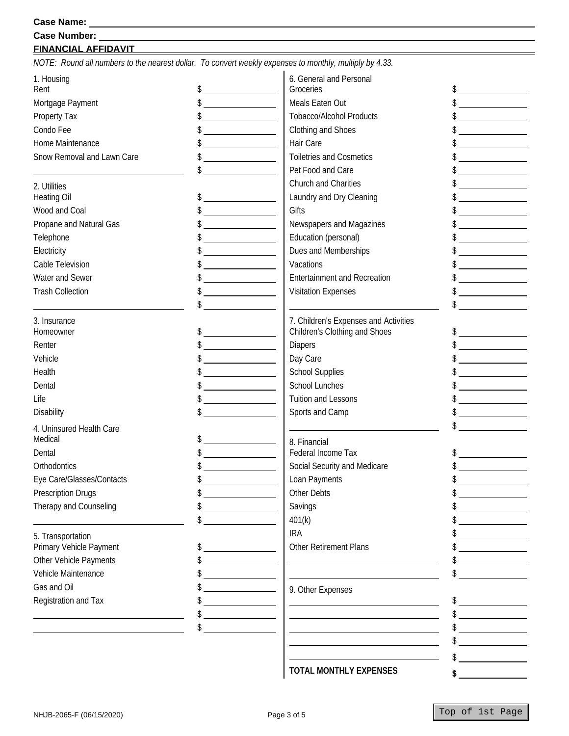### **FINANCIAL AFFIDAVIT**

*NOTE: Round all numbers to the nearest dollar. To convert weekly expenses to monthly, multiply by 4.33.* 

| 1. Housing                 |                                                             | 6. General and Personal                                                |                                                                                                                      |
|----------------------------|-------------------------------------------------------------|------------------------------------------------------------------------|----------------------------------------------------------------------------------------------------------------------|
| Rent                       | $\frac{1}{2}$                                               | Groceries                                                              | $\frac{1}{2}$                                                                                                        |
| Mortgage Payment           | $\frac{1}{2}$                                               | Meals Eaten Out                                                        | $\begin{array}{c}\n\circ \\ \bullet \\ \hline\n\end{array}$                                                          |
| Property Tax               | $\frac{1}{2}$                                               | <b>Tobacco/Alcohol Products</b>                                        |                                                                                                                      |
| Condo Fee                  |                                                             | Clothing and Shoes                                                     |                                                                                                                      |
| Home Maintenance           | $\frac{1}{2}$                                               | Hair Care                                                              | <u> 1999 - Jan Sterlingen (</u>                                                                                      |
| Snow Removal and Lawn Care |                                                             | <b>Toiletries and Cosmetics</b>                                        |                                                                                                                      |
|                            |                                                             | Pet Food and Care                                                      | <u> 1989 - Jan Stein Stein Stein Stein Stein Stein Stein Stein Stein Stein Stein Stein Stein Stein Stein Stein S</u> |
| 2. Utilities               |                                                             | Church and Charities                                                   |                                                                                                                      |
| <b>Heating Oil</b>         |                                                             | Laundry and Dry Cleaning                                               |                                                                                                                      |
| Wood and Coal              |                                                             | Gifts                                                                  |                                                                                                                      |
| Propane and Natural Gas    |                                                             | Newspapers and Magazines                                               |                                                                                                                      |
| Telephone                  | $\frac{1}{2}$                                               | Education (personal)                                                   | <u> Alexandria de la conte</u>                                                                                       |
| Electricity                | <u> 1980 - Johann Barbara, martin a</u>                     | Dues and Memberships                                                   |                                                                                                                      |
| Cable Television           |                                                             | Vacations                                                              |                                                                                                                      |
| Water and Sewer            |                                                             | <b>Entertainment and Recreation</b>                                    |                                                                                                                      |
| <b>Trash Collection</b>    |                                                             | <b>Visitation Expenses</b>                                             |                                                                                                                      |
|                            | \$                                                          |                                                                        |                                                                                                                      |
|                            |                                                             |                                                                        |                                                                                                                      |
| 3. Insurance<br>Homeowner  |                                                             | 7. Children's Expenses and Activities<br>Children's Clothing and Shoes | \$                                                                                                                   |
| Renter                     |                                                             | <b>Diapers</b>                                                         |                                                                                                                      |
| Vehicle                    |                                                             | Day Care                                                               |                                                                                                                      |
| Health                     | $\begin{array}{c}\n\circ \\ \bullet \\ \hline\n\end{array}$ | <b>School Supplies</b>                                                 |                                                                                                                      |
| Dental                     | $\frac{1}{2}$                                               | School Lunches                                                         |                                                                                                                      |
|                            |                                                             |                                                                        |                                                                                                                      |
| Life                       | $\frac{1}{2}$                                               | <b>Tuition and Lessons</b>                                             |                                                                                                                      |
| Disability                 |                                                             | Sports and Camp                                                        |                                                                                                                      |
| 4. Uninsured Health Care   |                                                             |                                                                        |                                                                                                                      |
| Medical                    | $\frac{1}{2}$                                               | 8. Financial                                                           |                                                                                                                      |
| Dental                     | $\frac{1}{2}$                                               | Federal Income Tax                                                     |                                                                                                                      |
| Orthodontics               | $\frac{1}{2}$                                               | Social Security and Medicare                                           | $\frac{1}{2}$                                                                                                        |
| Eye Care/Glasses/Contacts  |                                                             | Loan Payments                                                          |                                                                                                                      |
| <b>Prescription Drugs</b>  |                                                             | Other Debts                                                            |                                                                                                                      |
| Therapy and Counseling     |                                                             | Savings                                                                |                                                                                                                      |
|                            |                                                             | 401(k)                                                                 |                                                                                                                      |
| 5. Transportation          |                                                             | <b>IRA</b>                                                             |                                                                                                                      |
| Primary Vehicle Payment    |                                                             | Other Retirement Plans                                                 |                                                                                                                      |
| Other Vehicle Payments     |                                                             |                                                                        |                                                                                                                      |
| Vehicle Maintenance        |                                                             |                                                                        |                                                                                                                      |
| Gas and Oil                |                                                             | 9. Other Expenses                                                      |                                                                                                                      |
| Registration and Tax       |                                                             |                                                                        | $\frac{1}{2}$                                                                                                        |
|                            |                                                             | <u> 1989 - Johann Stein, mars an de Brandenburg (b. 1989)</u>          |                                                                                                                      |
|                            |                                                             |                                                                        |                                                                                                                      |
|                            |                                                             |                                                                        |                                                                                                                      |
|                            |                                                             |                                                                        | \$                                                                                                                   |
|                            |                                                             |                                                                        |                                                                                                                      |

**TOTAL MONTHLY EXPENSES** 

**\$** 

**0.00**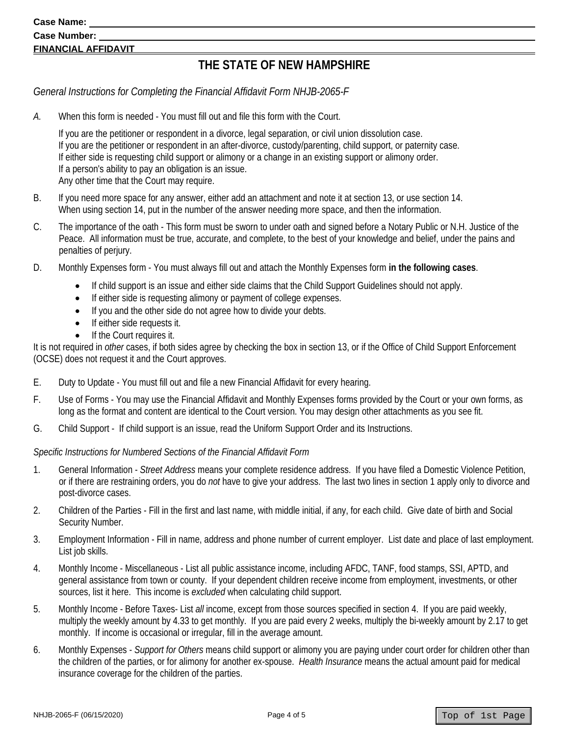#### **Case Name:**

## **Case Number: FINANCIAL AFFIDAVIT**

# **THE STATE OF NEW HAMPSHIRE**

*General Instructions for Completing the Financial Affidavit Form NHJB-2065-F* 

*A.* When this form is needed - You must fill out and file this form with the Court.

 If you are the petitioner or respondent in a divorce, legal separation, or civil union dissolution case. If you are the petitioner or respondent in an after-divorce, custody/parenting, child support, or paternity case. If either side is requesting child support or alimony or a change in an existing support or alimony order. If a person's ability to pay an obligation is an issue. Any other time that the Court may require.

- B. If you need more space for any answer, either add an attachment and note it at section 13, or use section 14. When using section 14, put in the number of the answer needing more space, and then the information.
- C. The importance of the oath This form must be sworn to under oath and signed before a Notary Public or N.H. Justice of the Peace. All information must be true, accurate, and complete, to the best of your knowledge and belief, under the pains and penalties of perjury.
- D. Monthly Expenses form You must always fill out and attach the Monthly Expenses form **in the following cases**.
	- If child support is an issue and either side claims that the Child Support Guidelines should not apply.
	- If either side is requesting alimony or payment of college expenses.
	- If you and the other side do not agree how to divide your debts.
	- **If either side requests it.**
	- **•** If the Court requires it.

It is not required in *other* cases, if both sides agree by checking the box in section 13, or if the Office of Child Support Enforcement (OCSE) does not request it and the Court approves.

- E. Duty to Update You must fill out and file a new Financial Affidavit for every hearing.
- F. Use of Forms You may use the Financial Affidavit and Monthly Expenses forms provided by the Court or your own forms, as long as the format and content are identical to the Court version. You may design other attachments as you see fit.
- G. Child Support If child support is an issue, read the Uniform Support Order and its Instructions.

### *Specific Instructions for Numbered Sections of the Financial Affidavit Form*

- 1. General Information *Street Address* means your complete residence address. If you have filed a Domestic Violence Petition, or if there are restraining orders, you do *not* have to give your address. The last two lines in section 1 apply only to divorce and post-divorce cases.
- 2. Children of the Parties Fill in the first and last name, with middle initial, if any, for each child. Give date of birth and Social Security Number.
- 3. Employment Information Fill in name, address and phone number of current employer. List date and place of last employment. List job skills.
- 4. Monthly Income Miscellaneous List all public assistance income, including AFDC, TANF, food stamps, SSI, APTD, and general assistance from town or county. If your dependent children receive income from employment, investments, or other sources, list it here. This income is *excluded* when calculating child support.
- 5. Monthly Income Before Taxes- List *all* income, except from those sources specified in section 4. If you are paid weekly, multiply the weekly amount by 4.33 to get monthly. If you are paid every 2 weeks, multiply the bi-weekly amount by 2.17 to get monthly. If income is occasional or irregular, fill in the average amount.
- 6. Monthly Expenses *Support for Others* means child support or alimony you are paying under court order for children other than the children of the parties, or for alimony for another ex-spouse. *Health Insurance* means the actual amount paid for medical insurance coverage for the children of the parties.